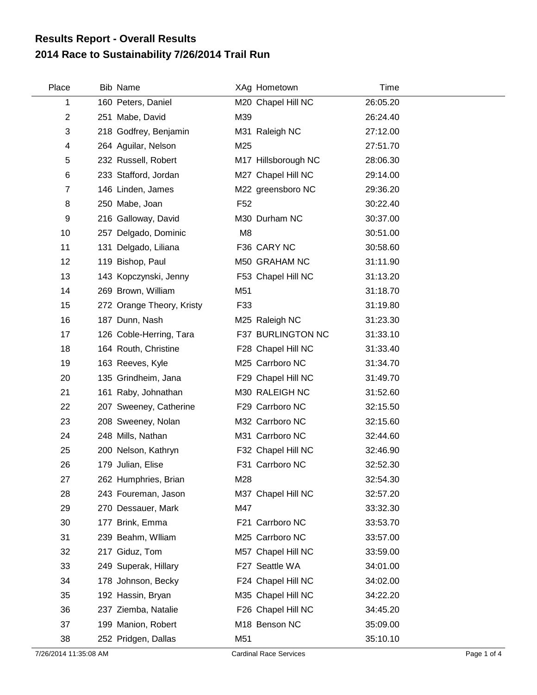## **2014 Race to Sustainability 7/26/2014 Trail Run Results Report - Overall Results**

| Place          | <b>Bib Name</b>           | XAg Hometown        | Time     |
|----------------|---------------------------|---------------------|----------|
| 1              | 160 Peters, Daniel        | M20 Chapel Hill NC  | 26:05.20 |
| $\overline{2}$ | 251 Mabe, David           | M39                 | 26:24.40 |
| 3              | 218 Godfrey, Benjamin     | M31 Raleigh NC      | 27:12.00 |
| 4              | 264 Aguilar, Nelson       | M25                 | 27:51.70 |
| 5              | 232 Russell, Robert       | M17 Hillsborough NC | 28:06.30 |
| 6              | 233 Stafford, Jordan      | M27 Chapel Hill NC  | 29:14.00 |
| $\overline{7}$ | 146 Linden, James         | M22 greensboro NC   | 29:36.20 |
| 8              | 250 Mabe, Joan            | F <sub>52</sub>     | 30:22.40 |
| 9              | 216 Galloway, David       | M30 Durham NC       | 30:37.00 |
| 10             | 257 Delgado, Dominic      | M <sub>8</sub>      | 30:51.00 |
| 11             | 131 Delgado, Liliana      | F36 CARY NC         | 30:58.60 |
| 12             | 119 Bishop, Paul          | M50 GRAHAM NC       | 31:11.90 |
| 13             | 143 Kopczynski, Jenny     | F53 Chapel Hill NC  | 31:13.20 |
| 14             | 269 Brown, William        | M51                 | 31:18.70 |
| 15             | 272 Orange Theory, Kristy | F33                 | 31:19.80 |
| 16             | 187 Dunn, Nash            | M25 Raleigh NC      | 31:23.30 |
| 17             | 126 Coble-Herring, Tara   | F37 BURLINGTON NC   | 31:33.10 |
| 18             | 164 Routh, Christine      | F28 Chapel Hill NC  | 31:33.40 |
| 19             | 163 Reeves, Kyle          | M25 Carrboro NC     | 31:34.70 |
| 20             | 135 Grindheim, Jana       | F29 Chapel Hill NC  | 31:49.70 |
| 21             | 161 Raby, Johnathan       | M30 RALEIGH NC      | 31:52.60 |
| 22             | 207 Sweeney, Catherine    | F29 Carrboro NC     | 32:15.50 |
| 23             | 208 Sweeney, Nolan        | M32 Carrboro NC     | 32:15.60 |
| 24             | 248 Mills, Nathan         | M31 Carrboro NC     | 32:44.60 |
| 25             | 200 Nelson, Kathryn       | F32 Chapel Hill NC  | 32:46.90 |
| 26             | 179 Julian, Elise         | F31 Carrboro NC     | 32:52.30 |
| 27             | 262 Humphries, Brian      | M28                 | 32:54.30 |
| 28             | 243 Foureman, Jason       | M37 Chapel Hill NC  | 32:57.20 |
| 29             | 270 Dessauer, Mark        | M47                 | 33:32.30 |
| 30             | 177 Brink, Emma           | F21 Carrboro NC     | 33:53.70 |
| 31             | 239 Beahm, Wiliam         | M25 Carrboro NC     | 33:57.00 |
| 32             | 217 Giduz, Tom            | M57 Chapel Hill NC  | 33:59.00 |
| 33             | 249 Superak, Hillary      | F27 Seattle WA      | 34:01.00 |
| 34             | 178 Johnson, Becky        | F24 Chapel Hill NC  | 34:02.00 |
| 35             | 192 Hassin, Bryan         | M35 Chapel Hill NC  | 34:22.20 |
| 36             | 237 Ziemba, Natalie       | F26 Chapel Hill NC  | 34:45.20 |
| 37             | 199 Manion, Robert        | M18 Benson NC       | 35:09.00 |
| 38             | 252 Pridgen, Dallas       | M51                 | 35:10.10 |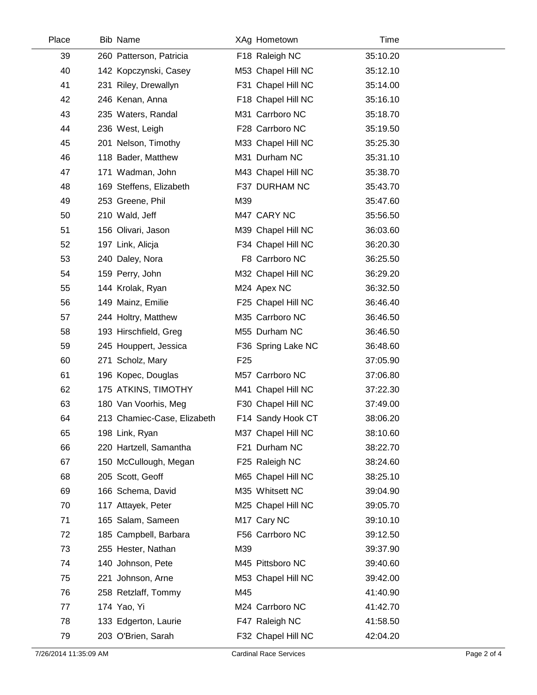| Place |    | <b>Bib Name</b>             |                 | XAg Hometown       | Time     |
|-------|----|-----------------------------|-----------------|--------------------|----------|
|       | 39 | 260 Patterson, Patricia     |                 | F18 Raleigh NC     | 35:10.20 |
|       | 40 | 142 Kopczynski, Casey       |                 | M53 Chapel Hill NC | 35:12.10 |
| 41    |    | 231 Riley, Drewallyn        |                 | F31 Chapel Hill NC | 35:14.00 |
|       | 42 | 246 Kenan, Anna             |                 | F18 Chapel Hill NC | 35:16.10 |
|       | 43 | 235 Waters, Randal          |                 | M31 Carrboro NC    | 35:18.70 |
|       | 44 | 236 West, Leigh             |                 | F28 Carrboro NC    | 35:19.50 |
|       | 45 | 201 Nelson, Timothy         |                 | M33 Chapel Hill NC | 35:25.30 |
|       | 46 | 118 Bader, Matthew          |                 | M31 Durham NC      | 35:31.10 |
|       | 47 | 171 Wadman, John            |                 | M43 Chapel Hill NC | 35:38.70 |
|       | 48 | 169 Steffens, Elizabeth     |                 | F37 DURHAM NC      | 35:43.70 |
|       | 49 | 253 Greene, Phil            | M39             |                    | 35:47.60 |
|       | 50 | 210 Wald, Jeff              |                 | M47 CARY NC        | 35:56.50 |
| 51    |    | 156 Olivari, Jason          |                 | M39 Chapel Hill NC | 36:03.60 |
|       | 52 | 197 Link, Alicja            |                 | F34 Chapel Hill NC | 36:20.30 |
|       | 53 | 240 Daley, Nora             |                 | F8 Carrboro NC     | 36:25.50 |
|       | 54 | 159 Perry, John             |                 | M32 Chapel Hill NC | 36:29.20 |
|       | 55 | 144 Krolak, Ryan            |                 | M24 Apex NC        | 36:32.50 |
|       | 56 | 149 Mainz, Emilie           |                 | F25 Chapel Hill NC | 36:46.40 |
|       | 57 | 244 Holtry, Matthew         |                 | M35 Carrboro NC    | 36:46.50 |
|       | 58 | 193 Hirschfield, Greg       |                 | M55 Durham NC      | 36:46.50 |
|       | 59 | 245 Houppert, Jessica       |                 | F36 Spring Lake NC | 36:48.60 |
|       | 60 | 271 Scholz, Mary            | F <sub>25</sub> |                    | 37:05.90 |
|       | 61 | 196 Kopec, Douglas          |                 | M57 Carrboro NC    | 37:06.80 |
|       | 62 | 175 ATKINS, TIMOTHY         |                 | M41 Chapel Hill NC | 37:22.30 |
|       | 63 | 180 Van Voorhis, Meg        |                 | F30 Chapel Hill NC | 37:49.00 |
|       | 64 | 213 Chamiec-Case, Elizabeth |                 | F14 Sandy Hook CT  | 38:06.20 |
|       | 65 | 198 Link, Ryan              |                 | M37 Chapel Hill NC | 38:10.60 |
|       | 66 | 220 Hartzell, Samantha      |                 | F21 Durham NC      | 38:22.70 |
|       | 67 | 150 McCullough, Megan       |                 | F25 Raleigh NC     | 38:24.60 |
|       | 68 | 205 Scott, Geoff            |                 | M65 Chapel Hill NC | 38:25.10 |
|       | 69 | 166 Schema, David           |                 | M35 Whitsett NC    | 39:04.90 |
|       | 70 | 117 Attayek, Peter          |                 | M25 Chapel Hill NC | 39:05.70 |
|       | 71 | 165 Salam, Sameen           |                 | M17 Cary NC        | 39:10.10 |
|       | 72 | 185 Campbell, Barbara       |                 | F56 Carrboro NC    | 39:12.50 |
|       | 73 | 255 Hester, Nathan          | M39             |                    | 39:37.90 |
|       | 74 | 140 Johnson, Pete           |                 | M45 Pittsboro NC   | 39:40.60 |
|       | 75 | 221 Johnson, Arne           |                 | M53 Chapel Hill NC | 39:42.00 |
|       | 76 | 258 Retzlaff, Tommy         | M45             |                    | 41:40.90 |
|       | 77 | 174 Yao, Yi                 |                 | M24 Carrboro NC    | 41:42.70 |
|       | 78 | 133 Edgerton, Laurie        |                 | F47 Raleigh NC     | 41:58.50 |
|       | 79 | 203 O'Brien, Sarah          |                 | F32 Chapel Hill NC | 42:04.20 |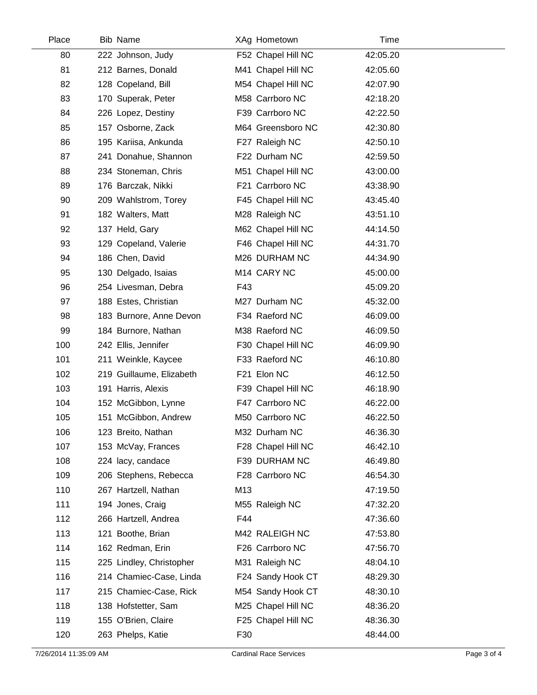| Place | <b>Bib Name</b>          | XAg Hometown       | Time     |  |
|-------|--------------------------|--------------------|----------|--|
| 80    | 222 Johnson, Judy        | F52 Chapel Hill NC | 42:05.20 |  |
| 81    | 212 Barnes, Donald       | M41 Chapel Hill NC | 42:05.60 |  |
| 82    | 128 Copeland, Bill       | M54 Chapel Hill NC | 42:07.90 |  |
| 83    | 170 Superak, Peter       | M58 Carrboro NC    | 42:18.20 |  |
| 84    | 226 Lopez, Destiny       | F39 Carrboro NC    | 42:22.50 |  |
| 85    | 157 Osborne, Zack        | M64 Greensboro NC  | 42:30.80 |  |
| 86    | 195 Kariisa, Ankunda     | F27 Raleigh NC     | 42:50.10 |  |
| 87    | 241 Donahue, Shannon     | F22 Durham NC      | 42:59.50 |  |
| 88    | 234 Stoneman, Chris      | M51 Chapel Hill NC | 43:00.00 |  |
| 89    | 176 Barczak, Nikki       | F21 Carrboro NC    | 43:38.90 |  |
| 90    | 209 Wahlstrom, Torey     | F45 Chapel Hill NC | 43:45.40 |  |
| 91    | 182 Walters, Matt        | M28 Raleigh NC     | 43:51.10 |  |
| 92    | 137 Held, Gary           | M62 Chapel Hill NC | 44:14.50 |  |
| 93    | 129 Copeland, Valerie    | F46 Chapel Hill NC | 44:31.70 |  |
| 94    | 186 Chen, David          | M26 DURHAM NC      | 44:34.90 |  |
| 95    | 130 Delgado, Isaias      | M14 CARY NC        | 45:00.00 |  |
| 96    | 254 Livesman, Debra      | F43                | 45:09.20 |  |
| 97    | 188 Estes, Christian     | M27 Durham NC      | 45:32.00 |  |
| 98    | 183 Burnore, Anne Devon  | F34 Raeford NC     | 46:09.00 |  |
| 99    | 184 Burnore, Nathan      | M38 Raeford NC     | 46:09.50 |  |
| 100   | 242 Ellis, Jennifer      | F30 Chapel Hill NC | 46:09.90 |  |
| 101   | 211 Weinkle, Kaycee      | F33 Raeford NC     | 46:10.80 |  |
| 102   | 219 Guillaume, Elizabeth | F21 Elon NC        | 46:12.50 |  |
| 103   | 191 Harris, Alexis       | F39 Chapel Hill NC | 46:18.90 |  |
| 104   | 152 McGibbon, Lynne      | F47 Carrboro NC    | 46:22.00 |  |
| 105   | 151 McGibbon, Andrew     | M50 Carrboro NC    | 46:22.50 |  |
| 106   | 123 Breito, Nathan       | M32 Durham NC      | 46:36.30 |  |
| 107   | 153 McVay, Frances       | F28 Chapel Hill NC | 46:42.10 |  |
| 108   | 224 lacy, candace        | F39 DURHAM NC      | 46:49.80 |  |
| 109   | 206 Stephens, Rebecca    | F28 Carrboro NC    | 46:54.30 |  |
| 110   | 267 Hartzell, Nathan     | M13                | 47:19.50 |  |
| 111   | 194 Jones, Craig         | M55 Raleigh NC     | 47:32.20 |  |
| 112   | 266 Hartzell, Andrea     | F44                | 47:36.60 |  |
| 113   | 121 Boothe, Brian        | M42 RALEIGH NC     | 47:53.80 |  |
| 114   | 162 Redman, Erin         | F26 Carrboro NC    | 47:56.70 |  |
| 115   | 225 Lindley, Christopher | M31 Raleigh NC     | 48:04.10 |  |
| 116   | 214 Chamiec-Case, Linda  | F24 Sandy Hook CT  | 48:29.30 |  |
| 117   | 215 Chamiec-Case, Rick   | M54 Sandy Hook CT  | 48:30.10 |  |
| 118   | 138 Hofstetter, Sam      | M25 Chapel Hill NC | 48:36.20 |  |
| 119   | 155 O'Brien, Claire      | F25 Chapel Hill NC | 48:36.30 |  |
| 120   | 263 Phelps, Katie        | F30                | 48:44.00 |  |